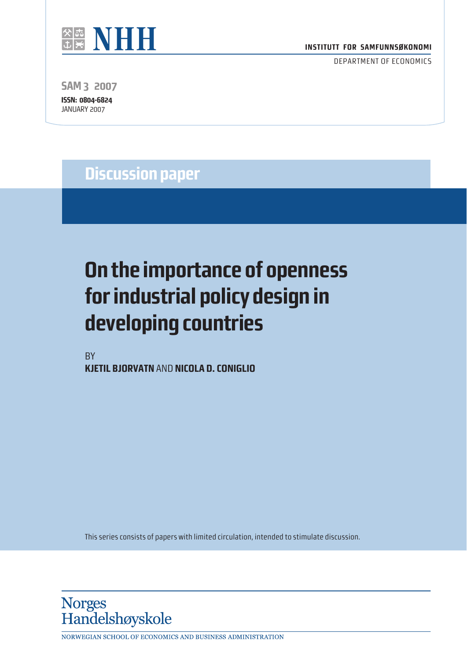

DEPARTMENT OF ECONOMICS

**SAM 3 2007**

**ISSN: 0804-6824** JANUARY 2007

**Discussion paper**

# **On the importance of openness for industrial policy design in developing countries**

BY **KJETIL BJORVATN** AND **NICOLA D. CONIGLIO**

This series consists of papers with limited circulation, intended to stimulate discussion.



NORWEGIAN SCHOOL OF ECONOMICS AND BUSINESS ADMINISTRATION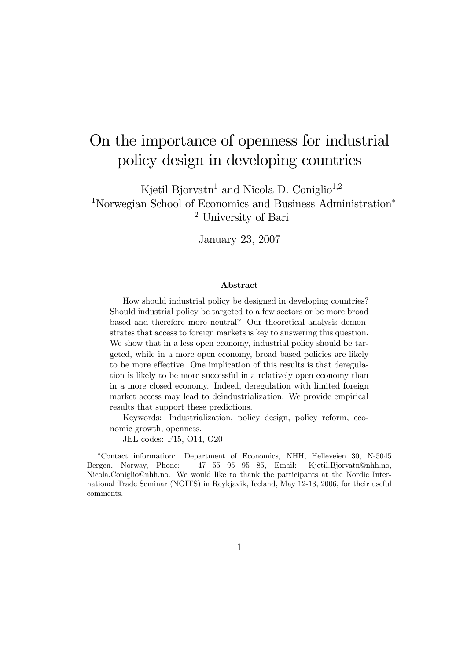## On the importance of openness for industrial policy design in developing countries

Kjetil Bjorvatn<sup>1</sup> and Nicola D. Coniglio<sup>1,2</sup> <sup>1</sup>Norwegian School of Economics and Business Administration<sup>∗</sup> <sup>2</sup> University of Bari

January 23, 2007

#### Abstract

How should industrial policy be designed in developing countries? Should industrial policy be targeted to a few sectors or be more broad based and therefore more neutral? Our theoretical analysis demonstrates that access to foreign markets is key to answering this question. We show that in a less open economy, industrial policy should be targeted, while in a more open economy, broad based policies are likely to be more effective. One implication of this results is that deregulation is likely to be more successful in a relatively open economy than in a more closed economy. Indeed, deregulation with limited foreign market access may lead to deindustrialization. We provide empirical results that support these predictions.

Keywords: Industrialization, policy design, policy reform, economic growth, openness.

JEL codes: F15, O14, O20

<sup>∗</sup>Contact information: Department of Economics, NHH, Helleveien 30, N-5045 Bergen, Norway, Phone: +47 55 95 95 85, Email: Kjetil.Bjorvatn@nhh.no, Nicola.Coniglio@nhh.no. We would like to thank the participants at the Nordic International Trade Seminar (NOITS) in Reykjavik, Iceland, May 12-13, 2006, for their useful comments.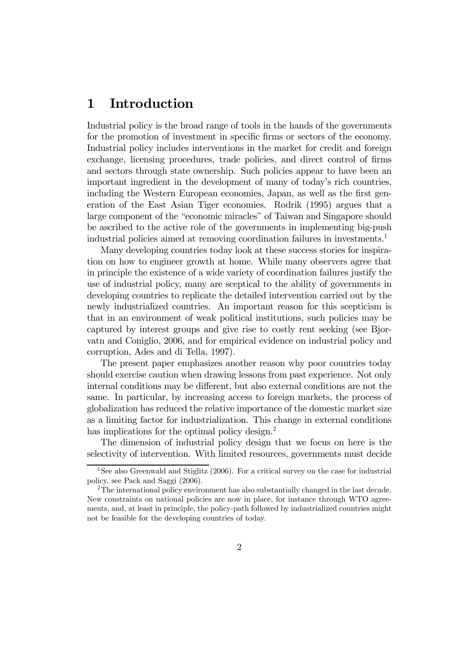### 1 Introduction

Industrial policy is the broad range of tools in the hands of the governments for the promotion of investment in specific firms or sectors of the economy. Industrial policy includes interventions in the market for credit and foreign exchange, licensing procedures, trade policies, and direct control of firms and sectors through state ownership. Such policies appear to have been an important ingredient in the development of many of today's rich countries, including the Western European economies, Japan, as well as the first generation of the East Asian Tiger economies. Rodrik (1995) argues that a large component of the "economic miracles" of Taiwan and Singapore should be ascribed to the active role of the governments in implementing big-push industrial policies aimed at removing coordination failures in investments.<sup>1</sup>

Many developing countries today look at these success stories for inspiration on how to engineer growth at home. While many observers agree that in principle the existence of a wide variety of coordination failures justify the use of industrial policy, many are sceptical to the ability of governments in developing countries to replicate the detailed intervention carried out by the newly industrialized countries. An important reason for this scepticism is that in an environment of weak political institutions, such policies may be captured by interest groups and give rise to costly rent seeking (see Bjorvatn and Coniglio, 2006, and for empirical evidence on industrial policy and corruption, Ades and di Tella, 1997).

The present paper emphasizes another reason why poor countries today should exercise caution when drawing lessons from past experience. Not only internal conditions may be different, but also external conditions are not the same. In particular, by increasing access to foreign markets, the process of globalization has reduced the relative importance of the domestic market size as a limiting factor for industrialization. This change in external conditions has implications for the optimal policy design.<sup>2</sup>

The dimension of industrial policy design that we focus on here is the selectivity of intervention. With limited resources, governments must decide

<sup>&</sup>lt;sup>1</sup>See also Greenwald and Stiglitz  $(2006)$ . For a critical survey on the case for industrial policy, see Pack and Saggi (2006).

<sup>2</sup>The international policy environment has also substantially changed in the last decade. New constraints on national policies are now in place, for instance through WTO agreements, and, at least in principle, the policy-path followed by industrialized countries might not be feasible for the developing countries of today.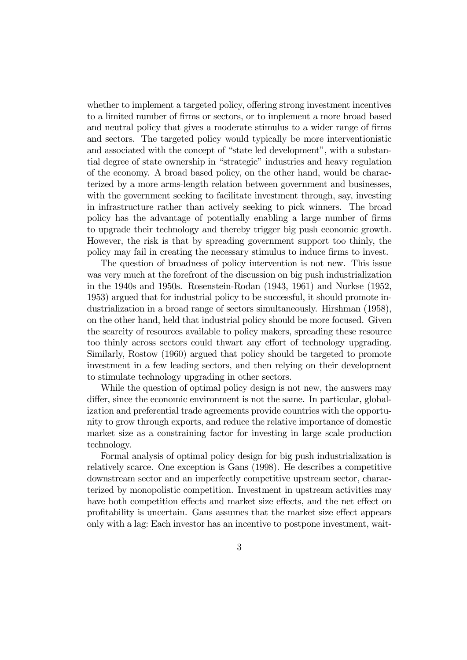whether to implement a targeted policy, offering strong investment incentives to a limited number of firms or sectors, or to implement a more broad based and neutral policy that gives a moderate stimulus to a wider range of firms and sectors. The targeted policy would typically be more interventionistic and associated with the concept of "state led development", with a substantial degree of state ownership in "strategic" industries and heavy regulation of the economy. A broad based policy, on the other hand, would be characterized by a more arms-length relation between government and businesses, with the government seeking to facilitate investment through, say, investing in infrastructure rather than actively seeking to pick winners. The broad policy has the advantage of potentially enabling a large number of firms to upgrade their technology and thereby trigger big push economic growth. However, the risk is that by spreading government support too thinly, the policy may fail in creating the necessary stimulus to induce firms to invest.

The question of broadness of policy intervention is not new. This issue was very much at the forefront of the discussion on big push industrialization in the 1940s and 1950s. Rosenstein-Rodan (1943, 1961) and Nurkse (1952, 1953) argued that for industrial policy to be successful, it should promote industrialization in a broad range of sectors simultaneously. Hirshman (1958), on the other hand, held that industrial policy should be more focused. Given the scarcity of resources available to policy makers, spreading these resource too thinly across sectors could thwart any effort of technology upgrading. Similarly, Rostow (1960) argued that policy should be targeted to promote investment in a few leading sectors, and then relying on their development to stimulate technology upgrading in other sectors.

While the question of optimal policy design is not new, the answers may differ, since the economic environment is not the same. In particular, globalization and preferential trade agreements provide countries with the opportunity to grow through exports, and reduce the relative importance of domestic market size as a constraining factor for investing in large scale production technology.

Formal analysis of optimal policy design for big push industrialization is relatively scarce. One exception is Gans (1998). He describes a competitive downstream sector and an imperfectly competitive upstream sector, characterized by monopolistic competition. Investment in upstream activities may have both competition effects and market size effects, and the net effect on profitability is uncertain. Gans assumes that the market size effect appears only with a lag: Each investor has an incentive to postpone investment, wait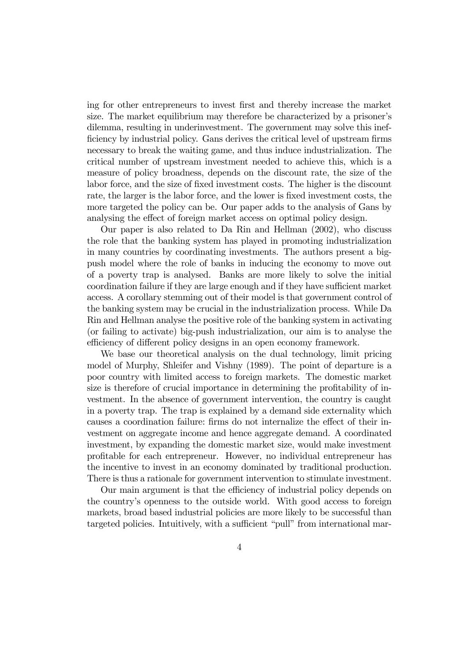ing for other entrepreneurs to invest first and thereby increase the market size. The market equilibrium may therefore be characterized by a prisoner's dilemma, resulting in underinvestment. The government may solve this inefficiency by industrial policy. Gans derives the critical level of upstream firms necessary to break the waiting game, and thus induce industrialization. The critical number of upstream investment needed to achieve this, which is a measure of policy broadness, depends on the discount rate, the size of the labor force, and the size of fixed investment costs. The higher is the discount rate, the larger is the labor force, and the lower is fixed investment costs, the more targeted the policy can be. Our paper adds to the analysis of Gans by analysing the effect of foreign market access on optimal policy design.

Our paper is also related to Da Rin and Hellman (2002), who discuss the role that the banking system has played in promoting industrialization in many countries by coordinating investments. The authors present a bigpush model where the role of banks in inducing the economy to move out of a poverty trap is analysed. Banks are more likely to solve the initial coordination failure if they are large enough and if they have sufficient market access. A corollary stemming out of their model is that government control of the banking system may be crucial in the industrialization process. While Da Rin and Hellman analyse the positive role of the banking system in activating (or failing to activate) big-push industrialization, our aim is to analyse the efficiency of different policy designs in an open economy framework.

We base our theoretical analysis on the dual technology, limit pricing model of Murphy, Shleifer and Vishny (1989). The point of departure is a poor country with limited access to foreign markets. The domestic market size is therefore of crucial importance in determining the profitability of investment. In the absence of government intervention, the country is caught in a poverty trap. The trap is explained by a demand side externality which causes a coordination failure: firms do not internalize the effect of their investment on aggregate income and hence aggregate demand. A coordinated investment, by expanding the domestic market size, would make investment profitable for each entrepreneur. However, no individual entrepreneur has the incentive to invest in an economy dominated by traditional production. There is thus a rationale for government intervention to stimulate investment.

Our main argument is that the efficiency of industrial policy depends on the country's openness to the outside world. With good access to foreign markets, broad based industrial policies are more likely to be successful than targeted policies. Intuitively, with a sufficient "pull" from international mar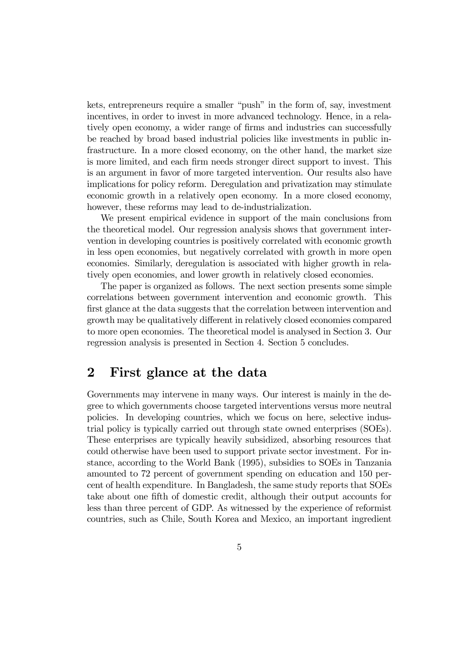kets, entrepreneurs require a smaller "push" in the form of, say, investment incentives, in order to invest in more advanced technology. Hence, in a relatively open economy, a wider range of firms and industries can successfully be reached by broad based industrial policies like investments in public infrastructure. In a more closed economy, on the other hand, the market size is more limited, and each firm needs stronger direct support to invest. This is an argument in favor of more targeted intervention. Our results also have implications for policy reform. Deregulation and privatization may stimulate economic growth in a relatively open economy. In a more closed economy, however, these reforms may lead to de-industrialization.

We present empirical evidence in support of the main conclusions from the theoretical model. Our regression analysis shows that government intervention in developing countries is positively correlated with economic growth in less open economies, but negatively correlated with growth in more open economies. Similarly, deregulation is associated with higher growth in relatively open economies, and lower growth in relatively closed economies.

The paper is organized as follows. The next section presents some simple correlations between government intervention and economic growth. This first glance at the data suggests that the correlation between intervention and growth may be qualitatively different in relatively closed economies compared to more open economies. The theoretical model is analysed in Section 3. Our regression analysis is presented in Section 4. Section 5 concludes.

## 2 First glance at the data

Governments may intervene in many ways. Our interest is mainly in the degree to which governments choose targeted interventions versus more neutral policies. In developing countries, which we focus on here, selective industrial policy is typically carried out through state owned enterprises (SOEs). These enterprises are typically heavily subsidized, absorbing resources that could otherwise have been used to support private sector investment. For instance, according to the World Bank (1995), subsidies to SOEs in Tanzania amounted to 72 percent of government spending on education and 150 percent of health expenditure. In Bangladesh, the same study reports that SOEs take about one fifth of domestic credit, although their output accounts for less than three percent of GDP. As witnessed by the experience of reformist countries, such as Chile, South Korea and Mexico, an important ingredient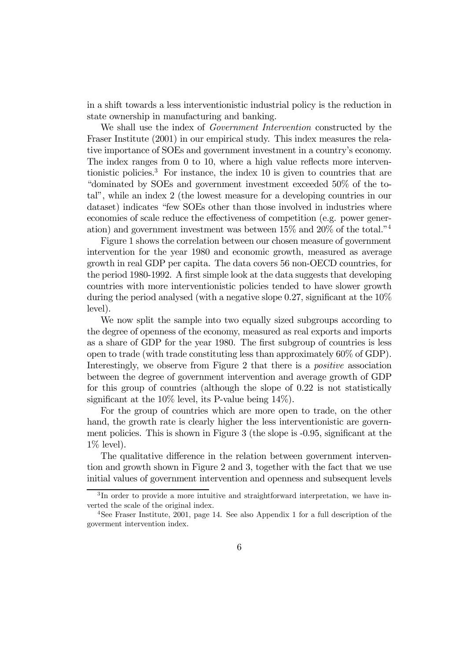in a shift towards a less interventionistic industrial policy is the reduction in state ownership in manufacturing and banking.

We shall use the index of *Government Intervention* constructed by the Fraser Institute (2001) in our empirical study. This index measures the relative importance of SOEs and government investment in a country's economy. The index ranges from 0 to 10, where a high value reflects more interventionistic policies.<sup>3</sup> For instance, the index 10 is given to countries that are "dominated by SOEs and government investment exceeded 50% of the total", while an index 2 (the lowest measure for a developing countries in our dataset) indicates "few SOEs other than those involved in industries where economies of scale reduce the effectiveness of competition (e.g. power generation) and government investment was between 15% and 20% of the total."4

Figure 1 shows the correlation between our chosen measure of government intervention for the year 1980 and economic growth, measured as average growth in real GDP per capita. The data covers 56 non-OECD countries, for the period 1980-1992. A first simple look at the data suggests that developing countries with more interventionistic policies tended to have slower growth during the period analysed (with a negative slope 0.27, significant at the 10% level).

We now split the sample into two equally sized subgroups according to the degree of openness of the economy, measured as real exports and imports as a share of GDP for the year 1980. The first subgroup of countries is less open to trade (with trade constituting less than approximately 60% of GDP). Interestingly, we observe from Figure 2 that there is a *positive* association between the degree of government intervention and average growth of GDP for this group of countries (although the slope of 0.22 is not statistically significant at the 10% level, its P-value being 14%).

For the group of countries which are more open to trade, on the other hand, the growth rate is clearly higher the less interventionistic are government policies. This is shown in Figure 3 (the slope is -0.95, significant at the 1% level).

The qualitative difference in the relation between government intervention and growth shown in Figure 2 and 3, together with the fact that we use initial values of government intervention and openness and subsequent levels

<sup>&</sup>lt;sup>3</sup>In order to provide a more intuitive and straightforward interpretation, we have inverted the scale of the original index.

<sup>4</sup>See Fraser Institute, 2001, page 14. See also Appendix 1 for a full description of the goverment intervention index.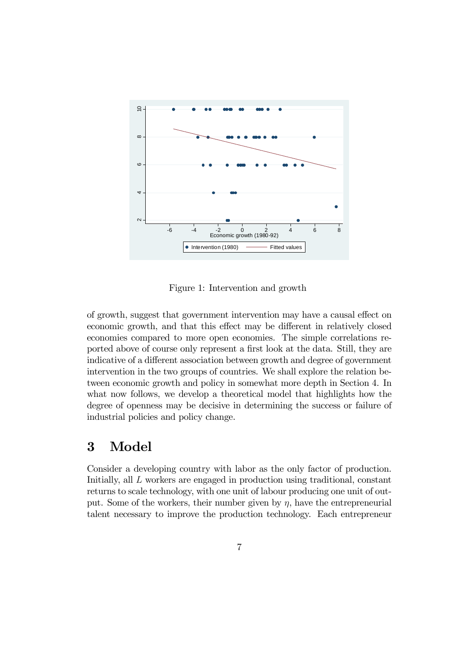

Figure 1: Intervention and growth

of growth, suggest that government intervention may have a causal effect on economic growth, and that this effect may be different in relatively closed economies compared to more open economies. The simple correlations reported above of course only represent a first look at the data. Still, they are indicative of a different association between growth and degree of government intervention in the two groups of countries. We shall explore the relation between economic growth and policy in somewhat more depth in Section 4. In what now follows, we develop a theoretical model that highlights how the degree of openness may be decisive in determining the success or failure of industrial policies and policy change.

## 3 Model

Consider a developing country with labor as the only factor of production. Initially, all L workers are engaged in production using traditional, constant returns to scale technology, with one unit of labour producing one unit of output. Some of the workers, their number given by  $\eta$ , have the entrepreneurial talent necessary to improve the production technology. Each entrepreneur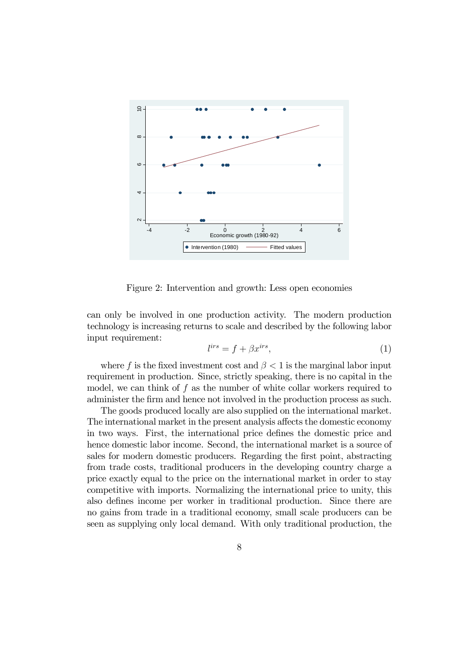

Figure 2: Intervention and growth: Less open economies

can only be involved in one production activity. The modern production technology is increasing returns to scale and described by the following labor input requirement:

$$
l^{irs} = f + \beta x^{irs},\tag{1}
$$

where f is the fixed investment cost and  $\beta$  < 1 is the marginal labor input requirement in production. Since, strictly speaking, there is no capital in the model, we can think of  $f$  as the number of white collar workers required to administer the firm and hence not involved in the production process as such.

The goods produced locally are also supplied on the international market. The international market in the present analysis affects the domestic economy in two ways. First, the international price defines the domestic price and hence domestic labor income. Second, the international market is a source of sales for modern domestic producers. Regarding the first point, abstracting from trade costs, traditional producers in the developing country charge a price exactly equal to the price on the international market in order to stay competitive with imports. Normalizing the international price to unity, this also defines income per worker in traditional production. Since there are no gains from trade in a traditional economy, small scale producers can be seen as supplying only local demand. With only traditional production, the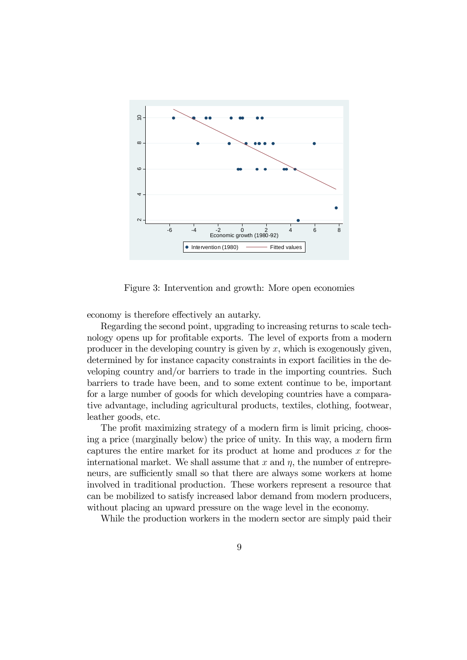

Figure 3: Intervention and growth: More open economies

economy is therefore effectively an autarky.

Regarding the second point, upgrading to increasing returns to scale technology opens up for profitable exports. The level of exports from a modern producer in the developing country is given by  $x$ , which is exogenously given, determined by for instance capacity constraints in export facilities in the developing country and/or barriers to trade in the importing countries. Such barriers to trade have been, and to some extent continue to be, important for a large number of goods for which developing countries have a comparative advantage, including agricultural products, textiles, clothing, footwear, leather goods, etc.

The profit maximizing strategy of a modern firm is limit pricing, choosing a price (marginally below) the price of unity. In this way, a modern firm captures the entire market for its product at home and produces  $x$  for the international market. We shall assume that x and  $\eta$ , the number of entrepreneurs, are sufficiently small so that there are always some workers at home involved in traditional production. These workers represent a resource that can be mobilized to satisfy increased labor demand from modern producers, without placing an upward pressure on the wage level in the economy.

While the production workers in the modern sector are simply paid their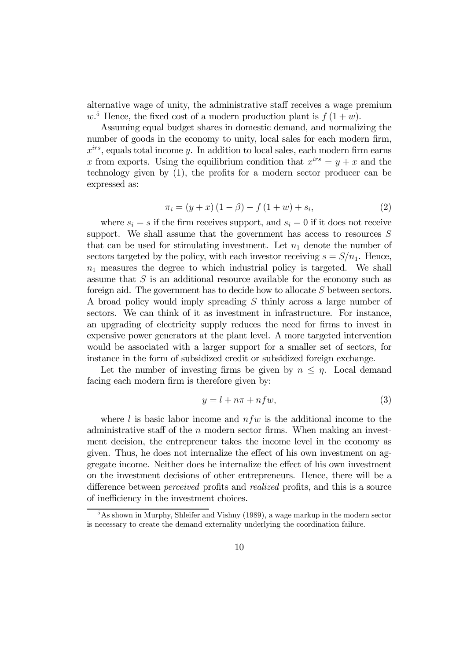alternative wage of unity, the administrative staff receives a wage premium  $w^5$  Hence, the fixed cost of a modern production plant is  $f(1+w)$ .

Assuming equal budget shares in domestic demand, and normalizing the number of goods in the economy to unity, local sales for each modern firm,  $x^{irs}$ , equals total income y. In addition to local sales, each modern firm earns x from exports. Using the equilibrium condition that  $x^{irs} = y + x$  and the technology given by (1), the profits for a modern sector producer can be expressed as:

$$
\pi_i = (y + x)(1 - \beta) - f(1 + w) + s_i,
$$
\n(2)

where  $s_i = s$  if the firm receives support, and  $s_i = 0$  if it does not receive support. We shall assume that the government has access to resources  $S$ that can be used for stimulating investment. Let  $n_1$  denote the number of sectors targeted by the policy, with each investor receiving  $s = S/n_1$ . Hence,  $n_1$  measures the degree to which industrial policy is targeted. We shall assume that  $S$  is an additional resource available for the economy such as foreign aid. The government has to decide how to allocate S between sectors. A broad policy would imply spreading S thinly across a large number of sectors. We can think of it as investment in infrastructure. For instance, an upgrading of electricity supply reduces the need for firms to invest in expensive power generators at the plant level. A more targeted intervention would be associated with a larger support for a smaller set of sectors, for instance in the form of subsidized credit or subsidized foreign exchange.

Let the number of investing firms be given by  $n \leq \eta$ . Local demand facing each modern firm is therefore given by:

$$
y = l + n\pi + nfw,\tag{3}
$$

where l is basic labor income and  $nfw$  is the additional income to the administrative staff of the  $n$  modern sector firms. When making an investment decision, the entrepreneur takes the income level in the economy as given. Thus, he does not internalize the effect of his own investment on aggregate income. Neither does he internalize the effect of his own investment on the investment decisions of other entrepreneurs. Hence, there will be a difference between *perceived* profits and *realized* profits, and this is a source of inefficiency in the investment choices.

<sup>&</sup>lt;sup>5</sup>As shown in Murphy, Shleifer and Vishny (1989), a wage markup in the modern sector is necessary to create the demand externality underlying the coordination failure.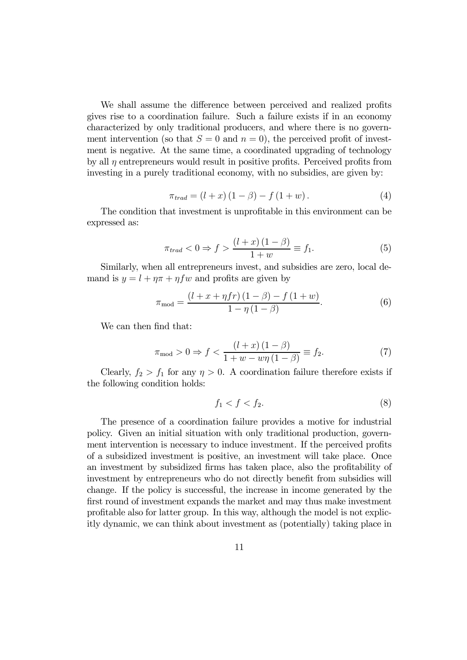We shall assume the difference between perceived and realized profits gives rise to a coordination failure. Such a failure exists if in an economy characterized by only traditional producers, and where there is no government intervention (so that  $S = 0$  and  $n = 0$ ), the perceived profit of investment is negative. At the same time, a coordinated upgrading of technology by all  $\eta$  entrepreneurs would result in positive profits. Perceived profits from investing in a purely traditional economy, with no subsidies, are given by:

$$
\pi_{trad} = (l+x)(1-\beta) - f(1+w). \tag{4}
$$

The condition that investment is unprofitable in this environment can be expressed as:

$$
\pi_{trad} < 0 \Rightarrow f > \frac{(l+x)(1-\beta)}{1+w} \equiv f_1. \tag{5}
$$

Similarly, when all entrepreneurs invest, and subsidies are zero, local demand is  $y = l + \eta \pi + \eta f w$  and profits are given by

$$
\pi_{\text{mod}} = \frac{(l + x + \eta f r)(1 - \beta) - f (1 + w)}{1 - \eta (1 - \beta)}.
$$
\n(6)

We can then find that:

$$
\pi_{\text{mod}} > 0 \Rightarrow f < \frac{(l+x)(1-\beta)}{1+w-w\eta(1-\beta)} \equiv f_2. \tag{7}
$$

Clearly,  $f_2 > f_1$  for any  $\eta > 0$ . A coordination failure therefore exists if the following condition holds:

$$
f_1 < f < f_2. \tag{8}
$$

The presence of a coordination failure provides a motive for industrial policy. Given an initial situation with only traditional production, government intervention is necessary to induce investment. If the perceived profits of a subsidized investment is positive, an investment will take place. Once an investment by subsidized firms has taken place, also the profitability of investment by entrepreneurs who do not directly benefit from subsidies will change. If the policy is successful, the increase in income generated by the first round of investment expands the market and may thus make investment profitable also for latter group. In this way, although the model is not explicitly dynamic, we can think about investment as (potentially) taking place in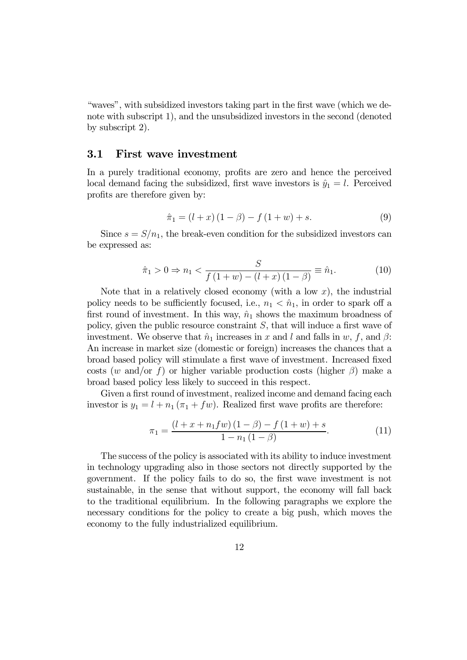"waves", with subsidized investors taking part in the first wave (which we denote with subscript 1), and the unsubsidized investors in the second (denoted by subscript 2).

#### 3.1 First wave investment

In a purely traditional economy, profits are zero and hence the perceived local demand facing the subsidized, first wave investors is  $\hat{y}_1 = l$ . Perceived profits are therefore given by:

$$
\hat{\pi}_1 = (l+x)(1-\beta) - f(1+w) + s. \tag{9}
$$

Since  $s = S/n_1$ , the break-even condition for the subsidized investors can be expressed as:

$$
\hat{\pi}_1 > 0 \Rightarrow n_1 < \frac{S}{f(1+w) - (l+x)(1-\beta)} \equiv \hat{n}_1. \tag{10}
$$

Note that in a relatively closed economy (with a low  $x$ ), the industrial policy needs to be sufficiently focused, i.e.,  $n_1 < \hat{n}_1$ , in order to spark off a first round of investment. In this way,  $\hat{n}_1$  shows the maximum broadness of policy, given the public resource constraint S, that will induce a first wave of investment. We observe that  $\hat{n}_1$  increases in x and l and falls in w, f, and  $\beta$ : An increase in market size (domestic or foreign) increases the chances that a broad based policy will stimulate a first wave of investment. Increased fixed costs (w and/or f) or higher variable production costs (higher  $\beta$ ) make a broad based policy less likely to succeed in this respect.

Given a first round of investment, realized income and demand facing each investor is  $y_1 = l + n_1 (\pi_1 + fw)$ . Realized first wave profits are therefore:

$$
\pi_1 = \frac{(l+x+n_1fw)(1-\beta) - f(1+w) + s}{1 - n_1(1-\beta)}.
$$
\n(11)

The success of the policy is associated with its ability to induce investment in technology upgrading also in those sectors not directly supported by the government. If the policy fails to do so, the first wave investment is not sustainable, in the sense that without support, the economy will fall back to the traditional equilibrium. In the following paragraphs we explore the necessary conditions for the policy to create a big push, which moves the economy to the fully industrialized equilibrium.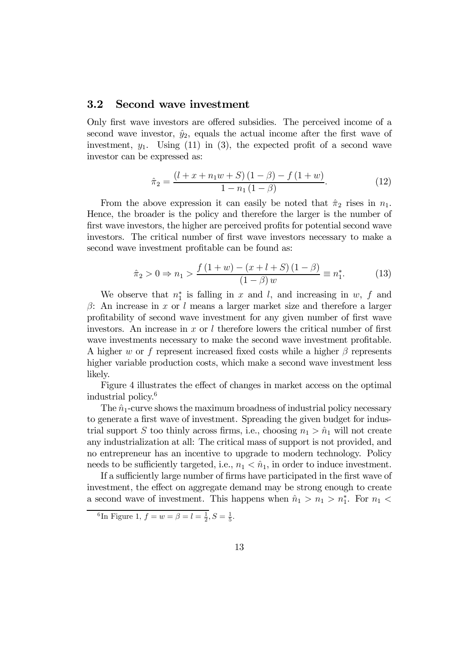#### 3.2 Second wave investment

Only first wave investors are offered subsidies. The perceived income of a second wave investor,  $\hat{y}_2$ , equals the actual income after the first wave of investment,  $y_1$ . Using (11) in (3), the expected profit of a second wave investor can be expressed as:

$$
\hat{\pi}_2 = \frac{(l+x+n_1w+S)(1-\beta) - f(1+w)}{1-n_1(1-\beta)}.
$$
\n(12)

From the above expression it can easily be noted that  $\hat{\pi}_2$  rises in  $n_1$ . Hence, the broader is the policy and therefore the larger is the number of first wave investors, the higher are perceived profits for potential second wave investors. The critical number of first wave investors necessary to make a second wave investment profitable can be found as:

$$
\hat{\pi}_2 > 0 \Rightarrow n_1 > \frac{f(1+w) - (x+l+S)(1-\beta)}{(1-\beta)w} \equiv n_1^*.
$$
 (13)

We observe that  $n_1^*$  is falling in x and l, and increasing in w, f and β: An increase in x or l means a larger market size and therefore a larger profitability of second wave investment for any given number of first wave investors. An increase in  $x$  or  $l$  therefore lowers the critical number of first wave investments necessary to make the second wave investment profitable. A higher w or f represent increased fixed costs while a higher  $\beta$  represents higher variable production costs, which make a second wave investment less likely.

Figure 4 illustrates the effect of changes in market access on the optimal industrial policy.6

The  $\hat{n}_1$ -curve shows the maximum broadness of industrial policy necessary to generate a first wave of investment. Spreading the given budget for industrial support S too thinly across firms, i.e., choosing  $n_1 > \hat{n}_1$  will not create any industrialization at all: The critical mass of support is not provided, and no entrepreneur has an incentive to upgrade to modern technology. Policy needs to be sufficiently targeted, i.e.,  $n_1 < \hat{n}_1$ , in order to induce investment.

If a sufficiently large number of firms have participated in the first wave of investment, the effect on aggregate demand may be strong enough to create a second wave of investment. This happens when  $\hat{n}_1 > n_1 > n_1^*$ . For  $n_1 <$ 

<sup>&</sup>lt;sup>6</sup>In Figure 1,  $f = w = \beta = l = \frac{1}{2}, S = \frac{1}{5}$ .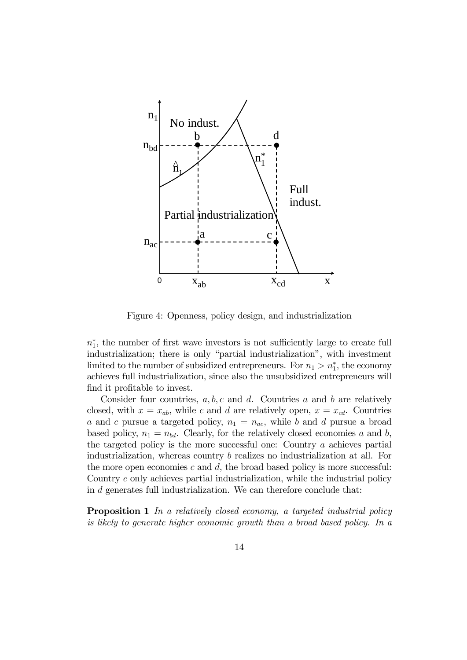

Figure 4: Openness, policy design, and industrialization

 $n_1^*$ , the number of first wave investors is not sufficiently large to create full industrialization; there is only "partial industrialization", with investment limited to the number of subsidized entrepreneurs. For  $n_1 > n_1^*$ , the economy achieves full industrialization, since also the unsubsidized entrepreneurs will find it profitable to invest.

Consider four countries,  $a, b, c$  and  $d$ . Countries  $a$  and  $b$  are relatively closed, with  $x = x_{ab}$ , while c and d are relatively open,  $x = x_{cd}$ . Countries a and c pursue a targeted policy,  $n_1 = n_{ac}$ , while b and d pursue a broad based policy,  $n_1 = n_{bd}$ . Clearly, for the relatively closed economies a and b, the targeted policy is the more successful one: Country a achieves partial industrialization, whereas country b realizes no industrialization at all. For the more open economies c and  $d$ , the broad based policy is more successful: Country c only achieves partial industrialization, while the industrial policy in d generates full industrialization. We can therefore conclude that:

**Proposition 1** In a relatively closed economy, a targeted industrial policy is likely to generate higher economic growth than a broad based policy. In a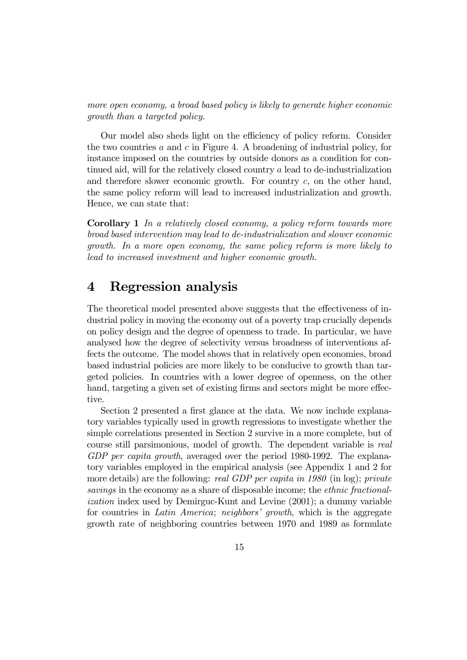more open economy, a broad based policy is likely to generate higher economic growth than a targeted policy.

Our model also sheds light on the efficiency of policy reform. Consider the two countries  $a$  and  $c$  in Figure 4. A broadening of industrial policy, for instance imposed on the countries by outside donors as a condition for continued aid, will for the relatively closed country a lead to de-industrialization and therefore slower economic growth. For country  $c$ , on the other hand, the same policy reform will lead to increased industrialization and growth. Hence, we can state that:

Corollary 1 In a relatively closed economy, a policy reform towards more broad based intervention may lead to de-industrialization and slower economic growth. In a more open economy, the same policy reform is more likely to lead to increased investment and higher economic growth.

#### 4 Regression analysis

The theoretical model presented above suggests that the effectiveness of industrial policy in moving the economy out of a poverty trap crucially depends on policy design and the degree of openness to trade. In particular, we have analysed how the degree of selectivity versus broadness of interventions affects the outcome. The model shows that in relatively open economies, broad based industrial policies are more likely to be conducive to growth than targeted policies. In countries with a lower degree of openness, on the other hand, targeting a given set of existing firms and sectors might be more effective.

Section 2 presented a first glance at the data. We now include explanatory variables typically used in growth regressions to investigate whether the simple correlations presented in Section 2 survive in a more complete, but of course still parsimonious, model of growth. The dependent variable is real GDP per capita growth, averaged over the period 1980-1992. The explanatory variables employed in the empirical analysis (see Appendix 1 and 2 for more details) are the following: real GDP per capita in 1980 (in log); private savings in the economy as a share of disposable income; the ethnic fractionalization index used by Demirguc-Kunt and Levine (2001); a dummy variable for countries in Latin America; neighbors' growth, which is the aggregate growth rate of neighboring countries between 1970 and 1989 as formulate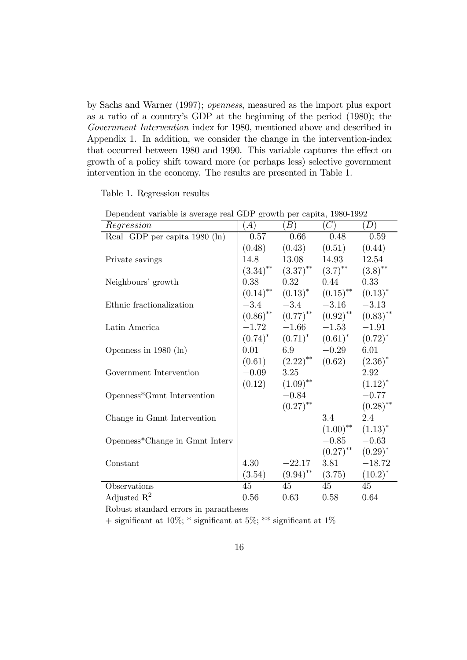by Sachs and Warner (1997); openness, measured as the import plus export as a ratio of a country's GDP at the beginning of the period (1980); the Government Intervention index for 1980, mentioned above and described in Appendix 1. In addition, we consider the change in the intervention-index that occurred between 1980 and 1990. This variable captures the effect on growth of a policy shift toward more (or perhaps less) selective government intervention in the economy. The results are presented in Table 1.

Table 1. Regression results

|                                  |                    | $S1$ on one por caprical 1000 100 |                                                                                           |                        |
|----------------------------------|--------------------|-----------------------------------|-------------------------------------------------------------------------------------------|------------------------|
| Regression                       | $(A)^{\mathsf{T}}$ | (B)                               | (C)                                                                                       | (D)                    |
| Real GDP per capita 1980 $(\ln)$ |                    | $-0.57 -0.66$                     | $-0.48$                                                                                   | $-0.59$                |
|                                  |                    |                                   | $(0.48)$ $(0.43)$ $(0.51)$                                                                | (0.44)                 |
| Private savings                  |                    | 14.8 13.08                        | 14.93                                                                                     | 12.54                  |
|                                  |                    |                                   | $(3.34)$ <sup>**</sup> $(3.37)$ <sup>**</sup> $(3.7)$ <sup>**</sup> $(3.8)$ <sup>**</sup> |                        |
| Neighbours' growth               |                    |                                   | $0.38$ $0.32$ $0.44$                                                                      | 0.33                   |
|                                  |                    |                                   | $(0.14)$ <sup>**</sup> $(0.13)$ <sup>*</sup> $(0.15)$ <sup>**</sup>                       | $(0.13)^*$             |
| Ethnic fractionalization         |                    |                                   | $-3.4$ $-3.4$ $-3.16$                                                                     | $-3.13$                |
|                                  |                    |                                   | $(0.86)$ <sup>**</sup> $(0.77)$ <sup>**</sup> $(0.92)$ <sup>**</sup>                      | $(0.83)$ <sup>**</sup> |
| Latin America                    |                    |                                   | $-1.72$ $-1.66$ $-1.53$                                                                   | $-1.91$                |
|                                  |                    |                                   | $(0.74)^*$ $(0.71)^*$ $(0.61)^*$ $(0.72)^*$                                               |                        |
| Openness in 1980 (ln)            |                    |                                   | $0.01$ $6.9$ $-0.29$                                                                      | 6.01                   |
|                                  |                    |                                   | $(0.61)$ $(2.22)^{**}$ $(0.62)$ $(2.36)^{*}$                                              |                        |
| Government Intervention          | $-0.09$ 3.25       |                                   |                                                                                           | 2.92                   |
|                                  |                    | $(0.12)$ $(1.09)$ <sup>**</sup>   |                                                                                           | $(1.12)^{*}$           |
| Openness*Gmnt Intervention       |                    | $-0.84$                           |                                                                                           | $-0.77$                |
|                                  |                    | $(0.27)$ <sup>**</sup>            |                                                                                           | $(0.28)$ <sup>**</sup> |
| Change in Gmnt Intervention      |                    |                                   | 3.4                                                                                       | 2.4                    |
|                                  |                    |                                   | $(1.00)$ <sup>**</sup> $(1.13)$ <sup>*</sup>                                              |                        |
| Openness*Change in Gmnt Interv   |                    |                                   | $-0.85$                                                                                   | $-0.63$                |
|                                  |                    |                                   | $(0.27)$ <sup>**</sup>                                                                    | $(0.29)^*$             |
| Constant                         |                    | $4.30 -22.17$                     | 3.81                                                                                      | $-18.72$               |
|                                  |                    |                                   | $(3.54)$ $(9.94)^{**}$ $(3.75)$ $(10.2)^{*}$                                              |                        |
| Observations                     | 45                 | 45 — 10                           | 45 — 10                                                                                   | 45                     |
| Adjusted $\mathbb{R}^2$          | 0.56               | 0.63                              | 0.58                                                                                      | 0.64                   |

Dependent variable is average real GDP growth per capita, 1980-1992

Robust standard errors in parantheses

 $+$  significant at 10%;  $*$  significant at 5%;  $**$  significant at 1%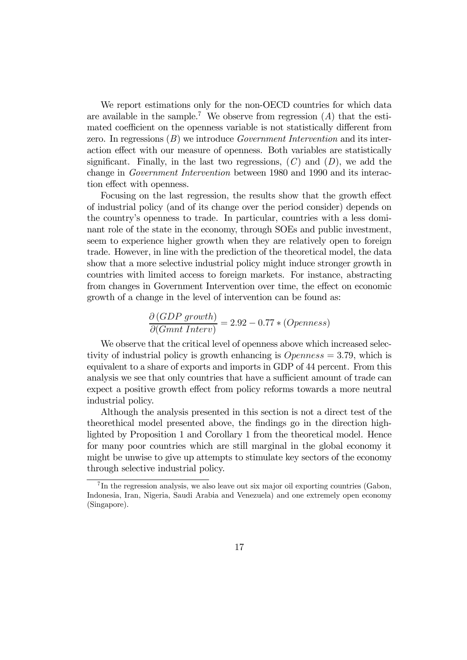We report estimations only for the non-OECD countries for which data are available in the sample.<sup>7</sup> We observe from regression  $(A)$  that the estimated coefficient on the openness variable is not statistically different from zero. In regressions  $(B)$  we introduce *Government Intervention* and its interaction effect with our measure of openness. Both variables are statistically significant. Finally, in the last two regressions,  $(C)$  and  $(D)$ , we add the change in Government Intervention between 1980 and 1990 and its interaction effect with openness.

Focusing on the last regression, the results show that the growth effect of industrial policy (and of its change over the period consider) depends on the country's openness to trade. In particular, countries with a less dominant role of the state in the economy, through SOEs and public investment, seem to experience higher growth when they are relatively open to foreign trade. However, in line with the prediction of the theoretical model, the data show that a more selective industrial policy might induce stronger growth in countries with limited access to foreign markets. For instance, abstracting from changes in Government Intervention over time, the effect on economic growth of a change in the level of intervention can be found as:

$$
\frac{\partial (GDP\ growth)}{\partial (Gmut\ Interview)} = 2.92 - 0.77 * (Openness)
$$

We observe that the critical level of openness above which increased selectivity of industrial policy is growth enhancing is  $Openness = 3.79$ , which is equivalent to a share of exports and imports in GDP of 44 percent. From this analysis we see that only countries that have a sufficient amount of trade can expect a positive growth effect from policy reforms towards a more neutral industrial policy.

Although the analysis presented in this section is not a direct test of the theorethical model presented above, the findings go in the direction highlighted by Proposition 1 and Corollary 1 from the theoretical model. Hence for many poor countries which are still marginal in the global economy it might be unwise to give up attempts to stimulate key sectors of the economy through selective industrial policy.

<sup>7</sup> In the regression analysis, we also leave out six major oil exporting countries (Gabon, Indonesia, Iran, Nigeria, Saudi Arabia and Venezuela) and one extremely open economy (Singapore).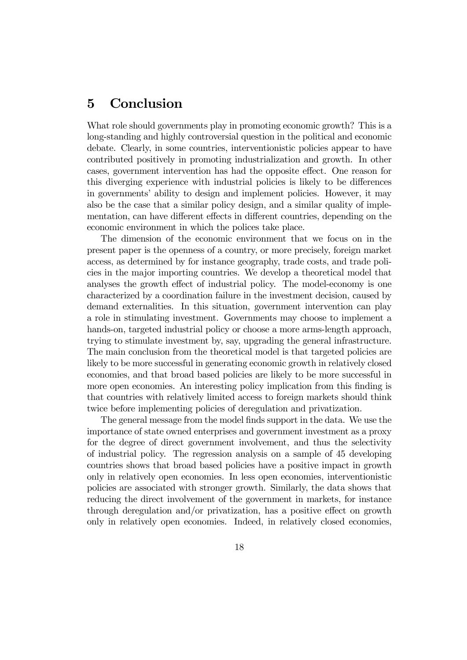## 5 Conclusion

What role should governments play in promoting economic growth? This is a long-standing and highly controversial question in the political and economic debate. Clearly, in some countries, interventionistic policies appear to have contributed positively in promoting industrialization and growth. In other cases, government intervention has had the opposite effect. One reason for this diverging experience with industrial policies is likely to be differences in governments' ability to design and implement policies. However, it may also be the case that a similar policy design, and a similar quality of implementation, can have different effects in different countries, depending on the economic environment in which the polices take place.

The dimension of the economic environment that we focus on in the present paper is the openness of a country, or more precisely, foreign market access, as determined by for instance geography, trade costs, and trade policies in the major importing countries. We develop a theoretical model that analyses the growth effect of industrial policy. The model-economy is one characterized by a coordination failure in the investment decision, caused by demand externalities. In this situation, government intervention can play a role in stimulating investment. Governments may choose to implement a hands-on, targeted industrial policy or choose a more arms-length approach, trying to stimulate investment by, say, upgrading the general infrastructure. The main conclusion from the theoretical model is that targeted policies are likely to be more successful in generating economic growth in relatively closed economies, and that broad based policies are likely to be more successful in more open economies. An interesting policy implication from this finding is that countries with relatively limited access to foreign markets should think twice before implementing policies of deregulation and privatization.

The general message from the model finds support in the data. We use the importance of state owned enterprises and government investment as a proxy for the degree of direct government involvement, and thus the selectivity of industrial policy. The regression analysis on a sample of 45 developing countries shows that broad based policies have a positive impact in growth only in relatively open economies. In less open economies, interventionistic policies are associated with stronger growth. Similarly, the data shows that reducing the direct involvement of the government in markets, for instance through deregulation and/or privatization, has a positive effect on growth only in relatively open economies. Indeed, in relatively closed economies,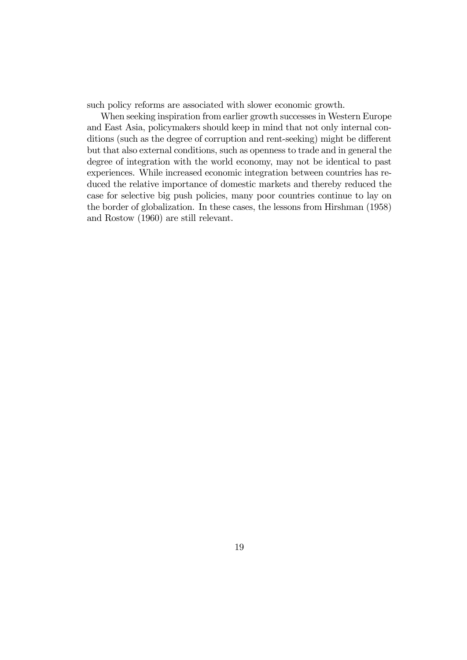such policy reforms are associated with slower economic growth.

When seeking inspiration from earlier growth successes in Western Europe and East Asia, policymakers should keep in mind that not only internal conditions (such as the degree of corruption and rent-seeking) might be different but that also external conditions, such as openness to trade and in general the degree of integration with the world economy, may not be identical to past experiences. While increased economic integration between countries has reduced the relative importance of domestic markets and thereby reduced the case for selective big push policies, many poor countries continue to lay on the border of globalization. In these cases, the lessons from Hirshman (1958) and Rostow (1960) are still relevant.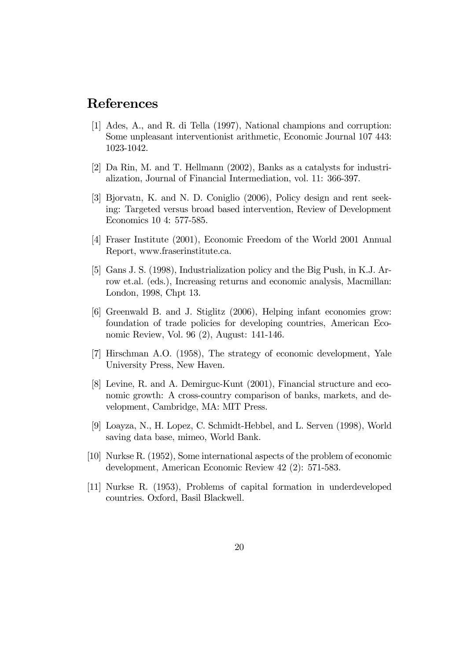## References

- [1] Ades, A., and R. di Tella (1997), National champions and corruption: Some unpleasant interventionist arithmetic, Economic Journal 107 443: 1023-1042.
- [2] Da Rin, M. and T. Hellmann (2002), Banks as a catalysts for industrialization, Journal of Financial Intermediation, vol. 11: 366-397.
- [3] Bjorvatn, K. and N. D. Coniglio (2006), Policy design and rent seeking: Targeted versus broad based intervention, Review of Development Economics 10 4: 577-585.
- [4] Fraser Institute (2001), Economic Freedom of the World 2001 Annual Report, www.fraserinstitute.ca.
- [5] Gans J. S. (1998), Industrialization policy and the Big Push, in K.J. Arrow et.al. (eds.), Increasing returns and economic analysis, Macmillan: London, 1998, Chpt 13.
- [6] Greenwald B. and J. Stiglitz (2006), Helping infant economies grow: foundation of trade policies for developing countries, American Economic Review, Vol. 96 (2), August: 141-146.
- [7] Hirschman A.O. (1958), The strategy of economic development, Yale University Press, New Haven.
- [8] Levine, R. and A. Demirguc-Kunt (2001), Financial structure and economic growth: A cross-country comparison of banks, markets, and development, Cambridge, MA: MIT Press.
- [9] Loayza, N., H. Lopez, C. Schmidt-Hebbel, and L. Serven (1998), World saving data base, mimeo, World Bank.
- [10] Nurkse R. (1952), Some international aspects of the problem of economic development, American Economic Review 42 (2): 571-583.
- [11] Nurkse R. (1953), Problems of capital formation in underdeveloped countries. Oxford, Basil Blackwell.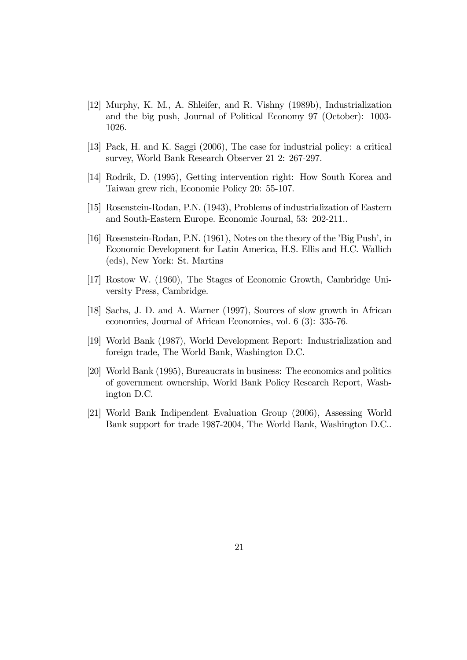- [12] Murphy, K. M., A. Shleifer, and R. Vishny (1989b), Industrialization and the big push, Journal of Political Economy 97 (October): 1003- 1026.
- [13] Pack, H. and K. Saggi (2006), The case for industrial policy: a critical survey, World Bank Research Observer 21 2: 267-297.
- [14] Rodrik, D. (1995), Getting intervention right: How South Korea and Taiwan grew rich, Economic Policy 20: 55-107.
- [15] Rosenstein-Rodan, P.N. (1943), Problems of industrialization of Eastern and South-Eastern Europe. Economic Journal, 53: 202-211..
- [16] Rosenstein-Rodan, P.N. (1961), Notes on the theory of the 'Big Push', in Economic Development for Latin America, H.S. Ellis and H.C. Wallich (eds), New York: St. Martins
- [17] Rostow W. (1960), The Stages of Economic Growth, Cambridge University Press, Cambridge.
- [18] Sachs, J. D. and A. Warner (1997), Sources of slow growth in African economies, Journal of African Economies, vol. 6 (3): 335-76.
- [19] World Bank (1987), World Development Report: Industrialization and foreign trade, The World Bank, Washington D.C.
- [20] World Bank (1995), Bureaucrats in business: The economics and politics of government ownership, World Bank Policy Research Report, Washington D.C.
- [21] World Bank Indipendent Evaluation Group (2006), Assessing World Bank support for trade 1987-2004, The World Bank, Washington D.C..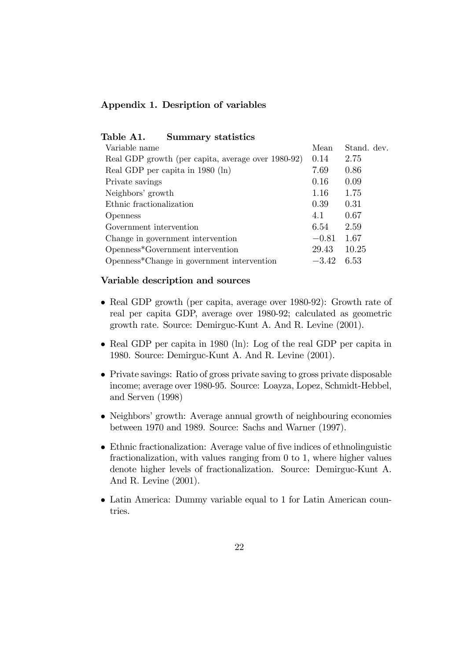#### Appendix 1. Desription of variables

#### Table A1. Summary statistics

| Variable name                                      | Mean    | Stand. dev. |
|----------------------------------------------------|---------|-------------|
| Real GDP growth (per capita, average over 1980-92) | 0.14    | 2.75        |
| Real GDP per capita in 1980 (ln)                   | 7.69    | 0.86        |
| Private savings                                    | 0.16    | 0.09        |
| Neighbors' growth                                  | 1.16    | 1.75        |
| Ethnic fractionalization                           | 0.39    | 0.31        |
| Openness                                           | 4.1     | 0.67        |
| Government intervention                            | 6.54    | 2.59        |
| Change in government intervention                  | $-0.81$ | 1.67        |
| Openness*Government intervention                   | 29.43   | 10.25       |
| Openness*Change in government intervention         | $-3.42$ | 6.53        |
|                                                    |         |             |

#### Variable description and sources

- Real GDP growth (per capita, average over 1980-92): Growth rate of real per capita GDP, average over 1980-92; calculated as geometric growth rate. Source: Demirguc-Kunt A. And R. Levine (2001).
- Real GDP per capita in 1980 (ln): Log of the real GDP per capita in 1980. Source: Demirguc-Kunt A. And R. Levine (2001).
- Private savings: Ratio of gross private saving to gross private disposable income; average over 1980-95. Source: Loayza, Lopez, Schmidt-Hebbel, and Serven (1998)
- Neighbors' growth: Average annual growth of neighbouring economies between 1970 and 1989. Source: Sachs and Warner (1997).
- Ethnic fractionalization: Average value of five indices of ethnolinguistic fractionalization, with values ranging from 0 to 1, where higher values denote higher levels of fractionalization. Source: Demirguc-Kunt A. And R. Levine (2001).
- Latin America: Dummy variable equal to 1 for Latin American countries.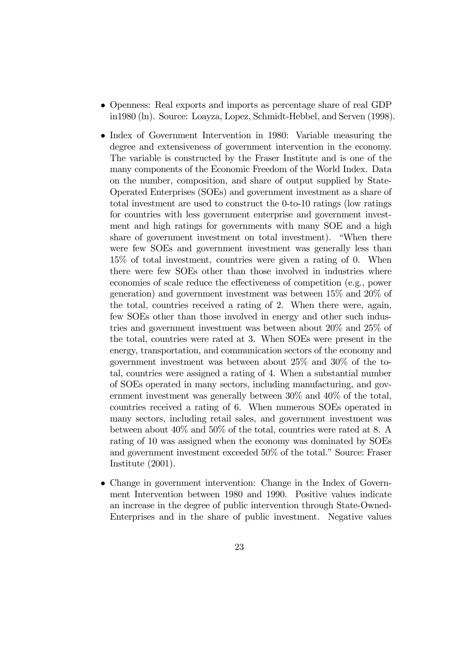- Openness: Real exports and imports as percentage share of real GDP in1980 (ln). Source: Loayza, Lopez, Schmidt-Hebbel, and Serven (1998).
- Index of Government Intervention in 1980: Variable measuring the degree and extensiveness of government intervention in the economy. The variable is constructed by the Fraser Institute and is one of the many components of the Economic Freedom of the World Index. Data on the number, composition, and share of output supplied by State-Operated Enterprises (SOEs) and government investment as a share of total investment are used to construct the 0-to-10 ratings (low ratings for countries with less government enterprise and government investment and high ratings for governments with many SOE and a high share of government investment on total investment). "When there were few SOEs and government investment was generally less than 15% of total investment, countries were given a rating of 0. When there were few SOEs other than those involved in industries where economies of scale reduce the effectiveness of competition (e.g., power generation) and government investment was between 15% and 20% of the total, countries received a rating of 2. When there were, again, few SOEs other than those involved in energy and other such industries and government investment was between about 20% and 25% of the total, countries were rated at 3. When SOEs were present in the energy, transportation, and communication sectors of the economy and government investment was between about 25% and 30% of the total, countries were assigned a rating of 4. When a substantial number of SOEs operated in many sectors, including manufacturing, and government investment was generally between 30% and 40% of the total, countries received a rating of 6. When numerous SOEs operated in many sectors, including retail sales, and government investment was between about 40% and 50% of the total, countries were rated at 8. A rating of 10 was assigned when the economy was dominated by SOEs and government investment exceeded 50% of the total." Source: Fraser Institute (2001).
- Change in government intervention: Change in the Index of Government Intervention between 1980 and 1990. Positive values indicate an increase in the degree of public intervention through State-Owned-Enterprises and in the share of public investment. Negative values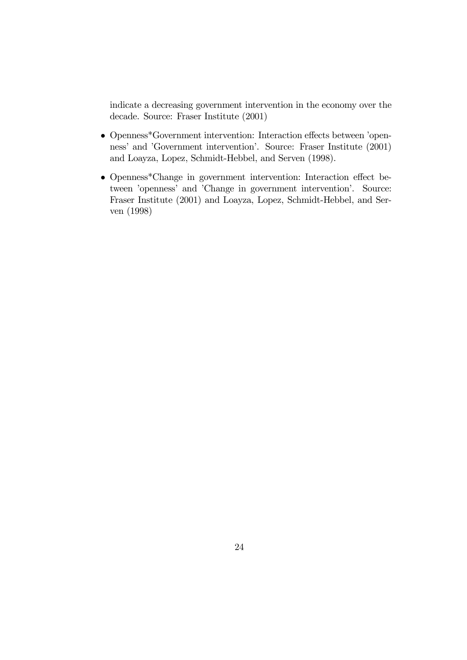indicate a decreasing government intervention in the economy over the decade. Source: Fraser Institute (2001)

- Openness\*Government intervention: Interaction effects between 'openness' and 'Government intervention'. Source: Fraser Institute (2001) and Loayza, Lopez, Schmidt-Hebbel, and Serven (1998).
- Openness\*Change in government intervention: Interaction effect between 'openness' and 'Change in government intervention'. Source: Fraser Institute (2001) and Loayza, Lopez, Schmidt-Hebbel, and Serven (1998)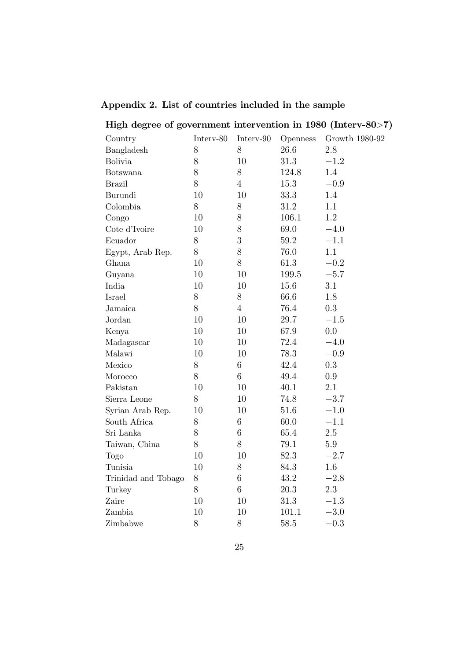| High degree of government intervention in 1980 (Interv-80 $>7$ ) |           |                |          |                |  |
|------------------------------------------------------------------|-----------|----------------|----------|----------------|--|
| Country                                                          | Interv-80 | Interv-90      | Openness | Growth 1980-92 |  |
| Bangladesh                                                       | 8         | 8              | 26.6     | 2.8            |  |
| <b>Bolivia</b>                                                   | 8         | 10             | 31.3     | $-1.2$         |  |
| <b>Botswana</b>                                                  | 8         | 8              | 124.8    | 1.4            |  |
| <b>Brazil</b>                                                    | 8         | $\overline{4}$ | 15.3     | $-0.9$         |  |
| Burundi                                                          | 10        | 10             | 33.3     | 1.4            |  |
| Colombia                                                         | 8         | 8              | 31.2     | 1.1            |  |
| Congo                                                            | 10        | 8              | 106.1    | 1.2            |  |
| Cote d'Ivoire                                                    | 10        | $8\,$          | 69.0     | $-4.0$         |  |
| Ecuador                                                          | 8         | 3              | 59.2     | $-1.1$         |  |
| Egypt, Arab Rep.                                                 | 8         | 8              | 76.0     | 1.1            |  |
| Ghana                                                            | 10        | 8              | 61.3     | $-0.2$         |  |
| Guyana                                                           | 10        | 10             | 199.5    | $-5.7$         |  |
| India                                                            | 10        | 10             | 15.6     | 3.1            |  |
| Israel                                                           | 8         | 8              | 66.6     | 1.8            |  |
| Jamaica                                                          | 8         | $\overline{4}$ | 76.4     | 0.3            |  |
| Jordan                                                           | 10        | 10             | 29.7     | $-1.5$         |  |
| Kenya                                                            | 10        | 10             | 67.9     | 0.0            |  |
| Madagascar                                                       | 10        | 10             | 72.4     | $-4.0$         |  |
| Malawi                                                           | 10        | 10             | 78.3     | $-0.9$         |  |
| Mexico                                                           | 8         | 6              | 42.4     | 0.3            |  |
| Morocco                                                          | 8         | 6              | 49.4     | 0.9            |  |
| Pakistan                                                         | 10        | 10             | 40.1     | 2.1            |  |
| Sierra Leone                                                     | 8         | 10             | 74.8     | $-3.7$         |  |
| Syrian Arab Rep.                                                 | 10        | 10             | 51.6     | $-1.0$         |  |
| South Africa                                                     | 8         | 6              | 60.0     | $-1.1$         |  |
| Sri Lanka                                                        | 8         | 6              | 65.4     | 2.5            |  |
| Taiwan, China                                                    | $8\,$     | 8              | 79.1     | 5.9            |  |
| Togo                                                             | 10        | 10             | 82.3     | $-2.7$         |  |
| Tunisia                                                          | 10        | $8\,$          | 84.3     | $1.6\,$        |  |
| Trinidad and Tobago                                              | 8         | 6              | 43.2     | $-2.8$         |  |
| Turkey                                                           | 8         | 6              | 20.3     | 2.3            |  |
| Zaire                                                            | 10        | 10             | 31.3     | $-1.3$         |  |
| Zambia                                                           | 10        | 10             | 101.1    | $-3.0$         |  |
| Zimbabwe                                                         | 8         | 8              | 58.5     | $-0.3$         |  |

### Appendix 2. List of countries included in the sample